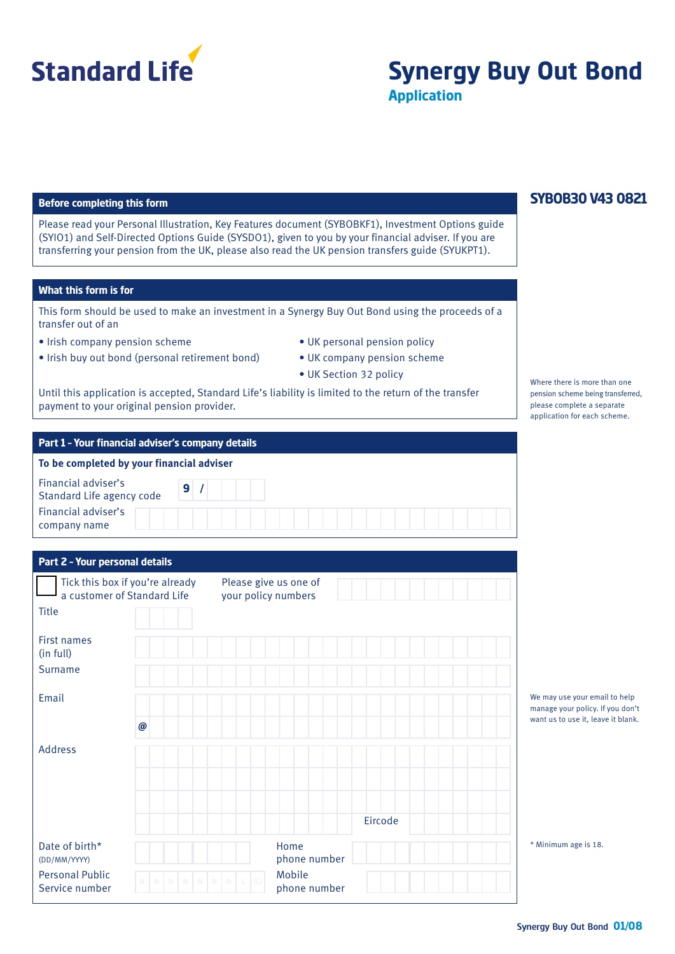

# **Synergy Buy Out Bond Application**

#### **Before completing this form**

Please read your Personal Illustration, Key Features document (SYBOBKF1), Investment Options guide (SYIO1) and Self-Directed Options Guide (SYSDO1), given to you by your financial adviser. If you are transferring your pension from the UK, please also read the UK pension transfers guide (SYUKPT1).

#### **What this form is for**

This form should be used to make an investment in a Synergy Buy Out Bond using the proceeds of a transfer out of an

- Irish company pension scheme
- Irish buy out bond (personal retirement bond)
- UK personal pension policy
- UK company pension scheme
- UK Section 32 policy

Until this application is accepted, Standard Life's liability is limited to the return of the transfer payment to your original pension provider.

#### **Part 1 – Your financial adviser's company details**

| To be completed by your financial adviser        |
|--------------------------------------------------|
| Financial adviser's<br>Standard Life agency code |
| Financial adviser's                              |

| Part 2 - Your personal details                                 |                                              |         |                                                                          |
|----------------------------------------------------------------|----------------------------------------------|---------|--------------------------------------------------------------------------|
| Tick this box if you're already<br>a customer of Standard Life | Please give us one of<br>your policy numbers |         |                                                                          |
| <b>Title</b>                                                   |                                              |         |                                                                          |
| <b>First names</b><br>(in full)                                |                                              |         |                                                                          |
| <b>Surname</b>                                                 |                                              |         |                                                                          |
| Email                                                          |                                              |         | We may use your ema<br>manage your policy. It<br>want us to use it, leav |
| $\boldsymbol{\varpi}$                                          |                                              |         |                                                                          |
| <b>Address</b>                                                 |                                              |         |                                                                          |
|                                                                |                                              | Eircode |                                                                          |
| Date of birth*<br>(DD/MM/YYYY)                                 | Home<br>phone number                         |         | * Minimum age is 18.                                                     |
| <b>Personal Public</b><br>Service number                       | Mobile<br>phone number                       |         |                                                                          |

# **SYBOB30 V43 0821**

Where there is more than one pension scheme being transferred, please complete a separate application for each scheme.

nay use your email to help age your policy. If you don't  $u$  us to use it, leave it blank.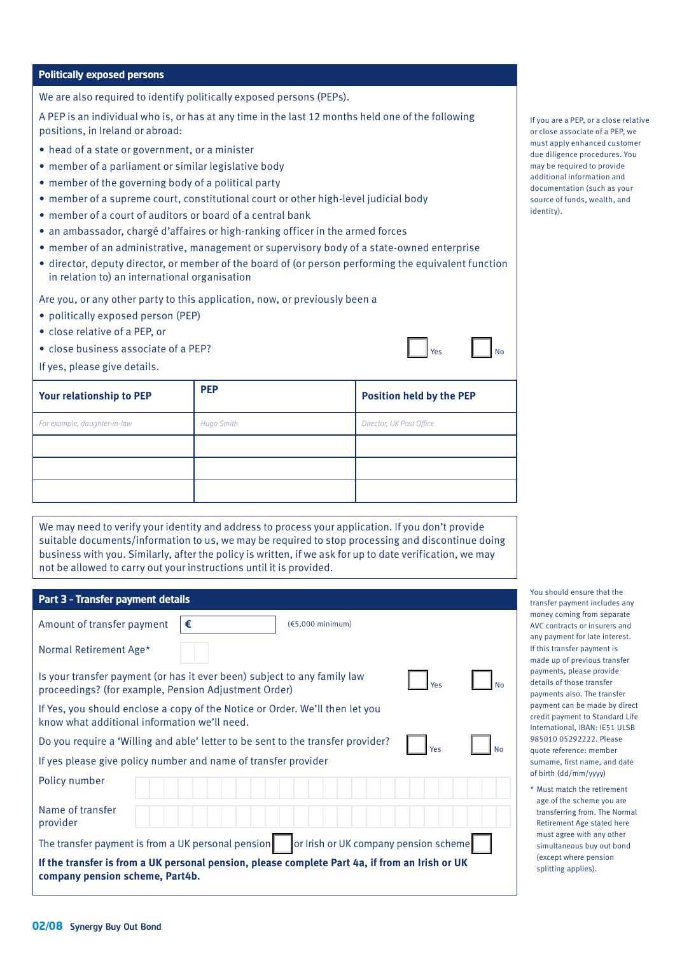#### **Politically exposed persons**

We are also required to identify politically exposed persons (PEPs).

A PEP is an individual who is, or has at any time in the last 12 months held one of the following positions, in Ireland or abroad:

- head of a state or government, or a minister
- member of a parliament or similar legislative body
- member of the governing body of a political party
- member of a supreme court, constitutional court or other high-level judicial body
- member of a court of auditors or board of a central bank
- an ambassador, chargé d'affaires or high-ranking officer in the armed forces
- member of an administrative, management or supervisory body of a state-owned enterprise
- director, deputy director, or member of the board of (or person performing the equivalent function in relation to) an international organisation

Are you, or any other party to this application, now, or previously been a

- politically exposed person (PEP)
- close relative of a PEP, or
- close business associate of a PEP?

If yes, please give details.

| Your relationship to PEP     | <b>PEP</b>        | <b>Position held by the PEP</b> |
|------------------------------|-------------------|---------------------------------|
| For example, daughter-in-law | <b>Hugo Smith</b> | Director, UK Post Office        |
|                              |                   |                                 |
|                              |                   |                                 |
|                              |                   |                                 |

We may need to verify your identity and address to process your application. If you don't provide suitable documents/information to us, we may be required to stop processing and discontinue doing business with you. Similarly, after the policy is written, if we ask for up to date verification, we may not be allowed to carry out your instructions until it is provided.

| Part 3 - Transfer payment details                                                                                                 |   |                            |     |  |
|-----------------------------------------------------------------------------------------------------------------------------------|---|----------------------------|-----|--|
| Amount of transfer payment                                                                                                        | € | $(65,000 \text{ minimum})$ |     |  |
| Normal Retirement Age*                                                                                                            |   |                            |     |  |
| Is your transfer payment (or has it ever been) subject to any family law<br>proceedings? (for example, Pension Adjustment Order)  |   |                            | Υρς |  |
| If Yes, you should enclose a copy of the Notice or Order. We'll then let you<br>know what additional information we'll need.      |   |                            |     |  |
| Do you require a 'Willing and able' letter to be sent to the transfer provider?                                                   |   |                            | Yes |  |
| If yes please give policy number and name of transfer provider                                                                    |   |                            |     |  |
| Policy number                                                                                                                     |   |                            |     |  |
| Name of transfer<br>provider                                                                                                      |   |                            |     |  |
| or Irish or UK company pension scheme<br>The transfer payment is from a UK personal pension                                       |   |                            |     |  |
| If the transfer is from a UK personal pension, please complete Part 4a, if from an Irish or UK<br>company pension scheme, Part4b. |   |                            |     |  |

If you are a PEP, or a close relative or close associate of a PEP, we must apply enhanced customer due diligence procedures. You may be required to provide additional information and documentation (such as your source of funds, wealth, and identity).

 $\mathsf{N}$ 

You should ensure that the transfer payment includes any money coming from separate AVC contracts or insurers and any payment for late interest. If this transfer payment is made up of previous transfer payments, please provide details of those transfer payments also. The transfer payment can be made by direct credit payment to Standard Life International, IBAN: IE51 ULSB 985010 05292222. Please quote reference: member surname, first name, and date of birth (dd/mm/yyyy)

\* Must match the retirement age of the scheme you are transferring from. The Normal Retirement Age stated here must agree with any other simultaneous buy out bond (except where pension splitting applies).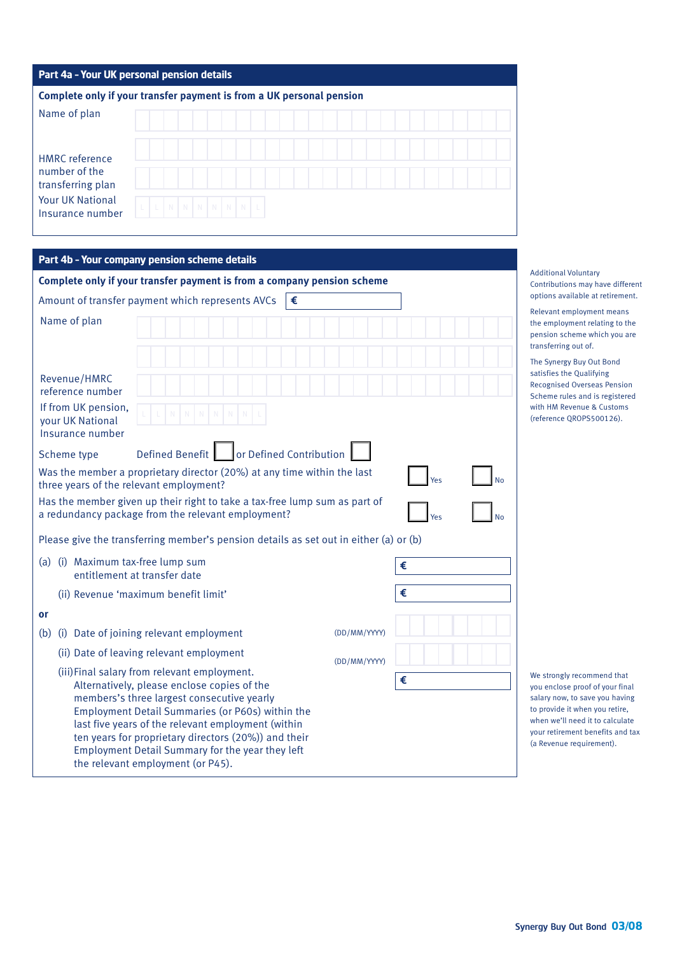| Part 4a - Your UK personal pension details                           |                 |  |  |  |
|----------------------------------------------------------------------|-----------------|--|--|--|
| Complete only if your transfer payment is from a UK personal pension |                 |  |  |  |
| Name of plan                                                         |                 |  |  |  |
| <b>HMRC</b> reference<br>number of the<br>transferring plan          |                 |  |  |  |
|                                                                      |                 |  |  |  |
| <b>Your UK National</b><br>Insurance number                          | L N N N N N N L |  |  |  |

# **Part 4b – Your company pension scheme details**

| Complete only if your transfer payment is from a company pension scheme                                                                                                                                                                                                                                                                                                                              |                  |  |
|------------------------------------------------------------------------------------------------------------------------------------------------------------------------------------------------------------------------------------------------------------------------------------------------------------------------------------------------------------------------------------------------------|------------------|--|
| Amount of transfer payment which represents AVCs                                                                                                                                                                                                                                                                                                                                                     | €                |  |
| Name of plan                                                                                                                                                                                                                                                                                                                                                                                         |                  |  |
| Revenue/HMRC<br>reference number<br>If from UK pension,<br>your UK National<br>Insurance number                                                                                                                                                                                                                                                                                                      |                  |  |
| Scheme type                                                                                                                                                                                                                                                                                                                                                                                          |                  |  |
| Was the member a proprietary director (20%) at any time within the last<br>three years of the relevant employment?                                                                                                                                                                                                                                                                                   | Yes              |  |
| Has the member given up their right to take a tax-free lump sum as part of<br>a redundancy package from the relevant employment?                                                                                                                                                                                                                                                                     | Yes<br><b>No</b> |  |
| Please give the transferring member's pension details as set out in either (a) or (b)                                                                                                                                                                                                                                                                                                                |                  |  |
| (a) (i) Maximum tax-free lump sum<br>entitlement at transfer date                                                                                                                                                                                                                                                                                                                                    | €                |  |
| €<br>(ii) Revenue 'maximum benefit limit'                                                                                                                                                                                                                                                                                                                                                            |                  |  |
| or                                                                                                                                                                                                                                                                                                                                                                                                   |                  |  |
| (i) Date of joining relevant employment<br>(b)                                                                                                                                                                                                                                                                                                                                                       | (DD/MM/YYYY)     |  |
| (ii) Date of leaving relevant employment                                                                                                                                                                                                                                                                                                                                                             | (DD/MM/YYYY)     |  |
| (iii) Final salary from relevant employment.<br>Alternatively, please enclose copies of the<br>members's three largest consecutive yearly<br>Employment Detail Summaries (or P60s) within the<br>last five years of the relevant employment (within<br>ten years for proprietary directors (20%)) and their<br>Employment Detail Summary for the year they left<br>the relevant employment (or P45). | €                |  |

Additional Voluntary Contributions may have different options available at retirement.

Relevant employment means the employment relating to the pension scheme which you are transferring out of.

The Synergy Buy Out Bond satisfies the Qualifying Recognised Overseas Pension Scheme rules and is registered with HM Revenue & Customs (reference QROPS500126).

We strongly recommend that you enclose proof of your final salary now, to save you having to provide it when you retire, when we'll need it to calculate your retirement benefits and tax (a Revenue requirement).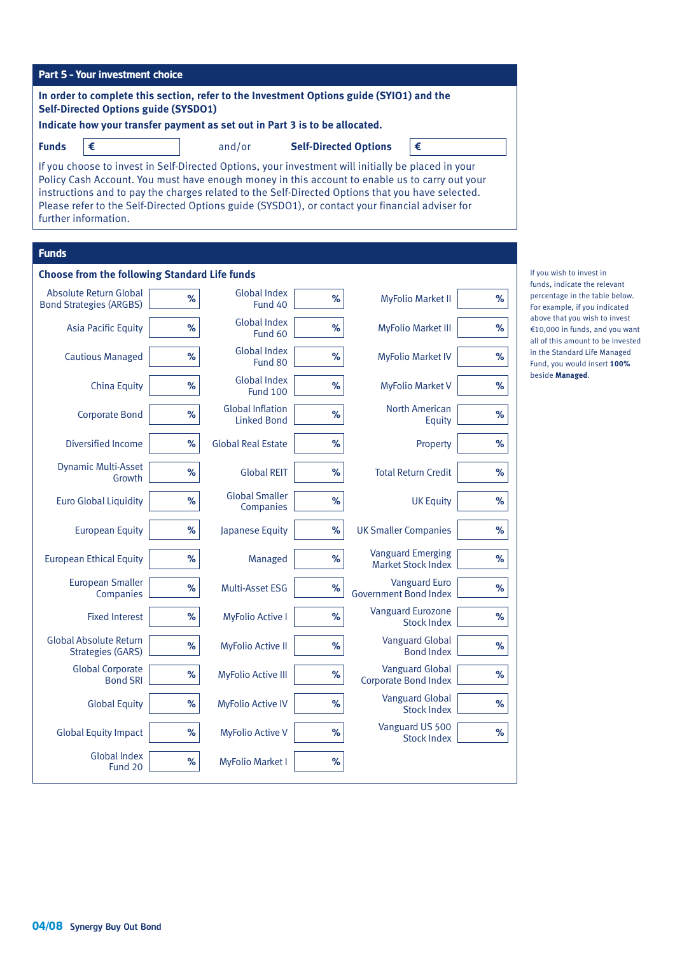| <b>Part 5 - Your investment choice</b>                                                                                                                                                                                                                                                                                                                                                                                              |      |                                               |                              |                              |                                                       |      |                                                                                                      |
|-------------------------------------------------------------------------------------------------------------------------------------------------------------------------------------------------------------------------------------------------------------------------------------------------------------------------------------------------------------------------------------------------------------------------------------|------|-----------------------------------------------|------------------------------|------------------------------|-------------------------------------------------------|------|------------------------------------------------------------------------------------------------------|
| In order to complete this section, refer to the Investment Options guide (SYIO1) and the<br><b>Self-Directed Options guide (SYSDO1)</b>                                                                                                                                                                                                                                                                                             |      |                                               |                              |                              |                                                       |      |                                                                                                      |
| Indicate how your transfer payment as set out in Part 3 is to be allocated.                                                                                                                                                                                                                                                                                                                                                         |      |                                               |                              |                              |                                                       |      |                                                                                                      |
| €<br><b>Funds</b>                                                                                                                                                                                                                                                                                                                                                                                                                   |      | and/or                                        | <b>Self-Directed Options</b> |                              | €                                                     |      |                                                                                                      |
| If you choose to invest in Self-Directed Options, your investment will initially be placed in your<br>Policy Cash Account. You must have enough money in this account to enable us to carry out your<br>instructions and to pay the charges related to the Self-Directed Options that you have selected.<br>Please refer to the Self-Directed Options guide (SYSDO1), or contact your financial adviser for<br>further information. |      |                                               |                              |                              |                                                       |      |                                                                                                      |
| <b>Funds</b>                                                                                                                                                                                                                                                                                                                                                                                                                        |      |                                               |                              |                              |                                                       |      |                                                                                                      |
| <b>Choose from the following Standard Life funds</b>                                                                                                                                                                                                                                                                                                                                                                                |      |                                               |                              |                              |                                                       |      | If you wish to invest in<br>funds, indicate the relevant                                             |
| Absolute Return Global<br><b>Bond Strategies (ARGBS)</b>                                                                                                                                                                                                                                                                                                                                                                            | $\%$ | <b>Global Index</b><br>Fund 40                | $\%$                         |                              | <b>MyFolio Market II</b>                              | %    | percentage in the table below.<br>For example, if you indicated                                      |
| <b>Asia Pacific Equity</b>                                                                                                                                                                                                                                                                                                                                                                                                          | %    | <b>Global Index</b><br>Fund 60                | $\%$                         |                              | <b>MyFolio Market III</b>                             | %    | above that you wish to invest<br>€10,000 in funds, and you want<br>all of this amount to be invested |
| <b>Cautious Managed</b>                                                                                                                                                                                                                                                                                                                                                                                                             | %    | <b>Global Index</b><br>Fund 80                | $\%$                         |                              | <b>MyFolio Market IV</b>                              | %    | in the Standard Life Managed<br>Fund, you would insert 100%                                          |
| <b>China Equity</b>                                                                                                                                                                                                                                                                                                                                                                                                                 | %    | <b>Global Index</b><br><b>Fund 100</b>        | $\%$                         |                              | <b>MyFolio Market V</b>                               | %    | beside Managed.                                                                                      |
| <b>Corporate Bond</b>                                                                                                                                                                                                                                                                                                                                                                                                               | $\%$ | <b>Global Inflation</b><br><b>Linked Bond</b> | $\%$                         |                              | <b>North American</b><br>Equity                       | $\%$ |                                                                                                      |
| Diversified Income                                                                                                                                                                                                                                                                                                                                                                                                                  | $\%$ | <b>Global Real Estate</b>                     | %                            |                              | Property                                              | %    |                                                                                                      |
| <b>Dynamic Multi-Asset</b><br>Growth                                                                                                                                                                                                                                                                                                                                                                                                | %    | <b>Global REIT</b>                            | $\%$                         |                              | <b>Total Return Credit</b>                            | $\%$ |                                                                                                      |
| <b>Euro Global Liquidity</b>                                                                                                                                                                                                                                                                                                                                                                                                        | $\%$ | <b>Global Smaller</b><br>Companies            | $\%$                         |                              | <b>UK Equity</b>                                      | $\%$ |                                                                                                      |
| <b>European Equity</b>                                                                                                                                                                                                                                                                                                                                                                                                              | $\%$ | Japanese Equity                               | $\%$                         | <b>UK Smaller Companies</b>  |                                                       | $\%$ |                                                                                                      |
| <b>European Ethical Equity</b>                                                                                                                                                                                                                                                                                                                                                                                                      | $\%$ | Managed                                       | $\%$                         |                              | <b>Vanguard Emerging</b><br><b>Market Stock Index</b> | $\%$ |                                                                                                      |
| <b>European Smaller</b><br>Companies                                                                                                                                                                                                                                                                                                                                                                                                | $\%$ | Multi-Asset ESG                               | $\%$                         | <b>Government Bond Index</b> | <b>Vanguard Euro</b>                                  | $\%$ |                                                                                                      |
| <b>Fixed Interest</b>                                                                                                                                                                                                                                                                                                                                                                                                               | $\%$ | <b>MyFolio Active I</b>                       | $\%$                         |                              | <b>Vanguard Eurozone</b><br><b>Stock Index</b>        | $\%$ |                                                                                                      |
| <b>Global Absolute Return</b><br><b>Strategies (GARS)</b>                                                                                                                                                                                                                                                                                                                                                                           | $\%$ | <b>MyFolio Active II</b>                      | $\%$                         |                              | <b>Vanguard Global</b><br><b>Bond Index</b>           | $\%$ |                                                                                                      |
| <b>Global Corporate</b><br><b>Bond SRI</b>                                                                                                                                                                                                                                                                                                                                                                                          | $\%$ | <b>MyFolio Active III</b>                     | $\%$                         |                              | <b>Vanguard Global</b><br><b>Corporate Bond Index</b> | $\%$ |                                                                                                      |
| <b>Global Equity</b>                                                                                                                                                                                                                                                                                                                                                                                                                | $\%$ | <b>MyFolio Active IV</b>                      | $\%$                         |                              | <b>Vanguard Global</b><br><b>Stock Index</b>          | $\%$ |                                                                                                      |
| <b>Global Equity Impact</b>                                                                                                                                                                                                                                                                                                                                                                                                         | $\%$ | <b>MyFolio Active V</b>                       | $\%$                         |                              | Vanguard US 500<br><b>Stock Index</b>                 | $\%$ |                                                                                                      |
| <b>Global Index</b><br>Fund 20                                                                                                                                                                                                                                                                                                                                                                                                      | $\%$ | <b>MyFolio Market I</b>                       | $\%$                         |                              |                                                       |      |                                                                                                      |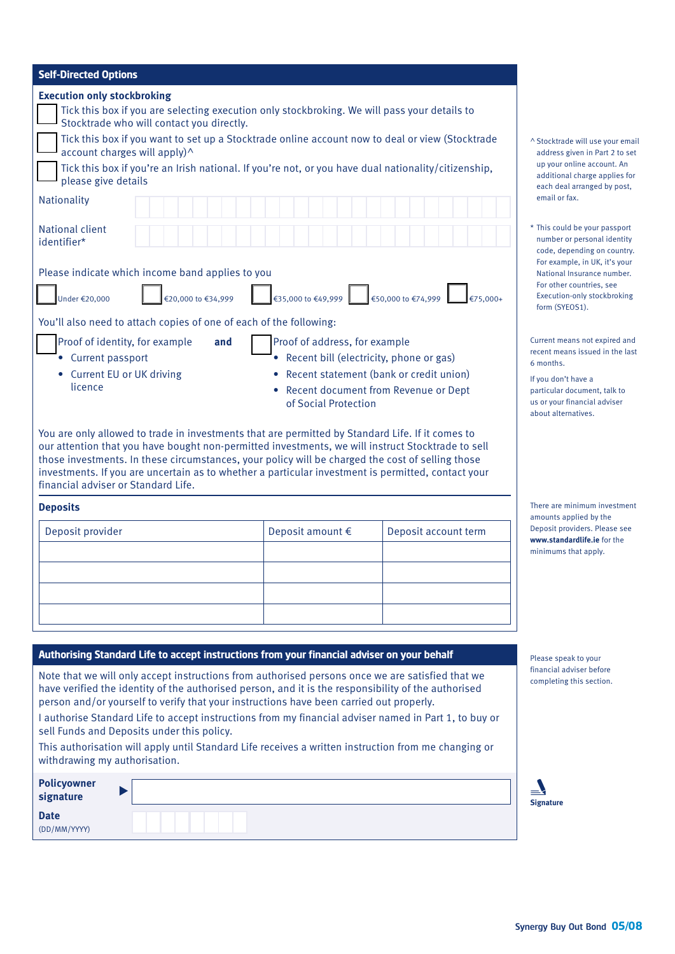| <b>Self-Directed Options</b>                                                                                                                                                                                                                                                                                                                                                                                                                                                                                                                                      |                    |                                |  |  |
|-------------------------------------------------------------------------------------------------------------------------------------------------------------------------------------------------------------------------------------------------------------------------------------------------------------------------------------------------------------------------------------------------------------------------------------------------------------------------------------------------------------------------------------------------------------------|--------------------|--------------------------------|--|--|
| <b>Execution only stockbroking</b><br>Tick this box if you are selecting execution only stockbroking. We will pass your details to<br>Stocktrade who will contact you directly.<br>Tick this box if you want to set up a Stocktrade online account now to deal or view (Stocktrade<br>account charges will apply)^<br>Tick this box if you're an Irish national. If you're not, or you have dual nationality/citizenship,<br>please give details<br>Nationality                                                                                                   |                    |                                |  |  |
| <b>National client</b><br>identifier*<br>Please indicate which income band applies to you<br>€20,000 to €34,999<br>Under €20,000                                                                                                                                                                                                                                                                                                                                                                                                                                  | €35,000 to €49,999 | €50,000 to €74,999<br>€75.000+ |  |  |
| You'll also need to attach copies of one of each of the following:<br>Proof of address, for example<br>Proof of identity, for example<br>and<br>Recent bill (electricity, phone or gas)<br>• Current passport<br>Recent statement (bank or credit union)<br>• Current EU or UK driving<br>licence<br>• Recent document from Revenue or Dept<br>of Social Protection                                                                                                                                                                                               |                    |                                |  |  |
| You are only allowed to trade in investments that are permitted by Standard Life. If it comes to<br>our attention that you have bought non-permitted investments, we will instruct Stocktrade to sell<br>those investments. In these circumstances, your policy will be charged the cost of selling those<br>investments. If you are uncertain as to whether a particular investment is permitted, contact your<br>financial adviser or Standard Life.                                                                                                            |                    |                                |  |  |
| <b>Deposits</b>                                                                                                                                                                                                                                                                                                                                                                                                                                                                                                                                                   |                    |                                |  |  |
| Deposit provider                                                                                                                                                                                                                                                                                                                                                                                                                                                                                                                                                  | Deposit amount €   | Deposit account term           |  |  |
|                                                                                                                                                                                                                                                                                                                                                                                                                                                                                                                                                                   |                    |                                |  |  |
| Authorising Standard Life to accept instructions from your financial adviser on your behalf                                                                                                                                                                                                                                                                                                                                                                                                                                                                       |                    |                                |  |  |
| Note that we will only accept instructions from authorised persons once we are satisfied that we<br>have verified the identity of the authorised person, and it is the responsibility of the authorised<br>person and/or yourself to verify that your instructions have been carried out properly.<br>I authorise Standard Life to accept instructions from my financial adviser named in Part 1, to buy or<br>sell Funds and Deposits under this policy.<br>This authorisation will apply until Standard Life receives a written instruction from me changing or |                    |                                |  |  |

withdrawing my authorisation.

 $\blacktriangleright$ 

**Policyowner signature Date** (DD/MM/YYYY)

 $\land$  Stocktrade will use your email address given in Part 2 to set up your online account. An additional charge applies for each deal arranged by post, email or fax.

\* This could be your passport number or personal identity code, depending on country. For example, in UK, it's your National Insurance number. For other countries, see Execution-only stockbroking form (SYEOS1).

Current means not expired and recent means issued in the last 6 months.

If you don't have a particular document, talk to us or your financial adviser about alternatives.

There are minimum investment amounts applied by the Deposit providers. Please see **www.standardlife.ie** for the minimums that apply.

Please speak to your financial adviser before completing this section.

| <b>Signature</b> |
|------------------|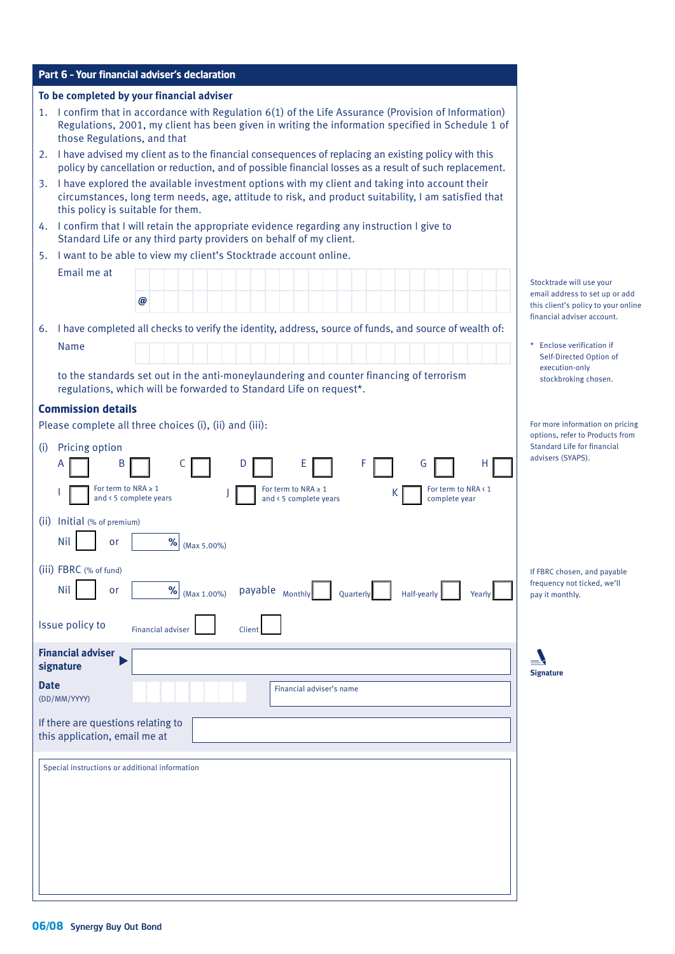| Part 6 - Your financial adviser's declaration                                                                                                                                                                                                   |                                                                                                                                 |
|-------------------------------------------------------------------------------------------------------------------------------------------------------------------------------------------------------------------------------------------------|---------------------------------------------------------------------------------------------------------------------------------|
| To be completed by your financial adviser                                                                                                                                                                                                       |                                                                                                                                 |
| 1. I confirm that in accordance with Regulation 6(1) of the Life Assurance (Provision of Information)<br>Regulations, 2001, my client has been given in writing the information specified in Schedule 1 of<br>those Regulations, and that       |                                                                                                                                 |
| I have advised my client as to the financial consequences of replacing an existing policy with this<br>2.<br>policy by cancellation or reduction, and of possible financial losses as a result of such replacement.                             |                                                                                                                                 |
| I have explored the available investment options with my client and taking into account their<br>3.<br>circumstances, long term needs, age, attitude to risk, and product suitability, I am satisfied that<br>this policy is suitable for them. |                                                                                                                                 |
| I confirm that I will retain the appropriate evidence regarding any instruction I give to<br>4.<br>Standard Life or any third party providers on behalf of my client.                                                                           |                                                                                                                                 |
| I want to be able to view my client's Stocktrade account online.<br>5.                                                                                                                                                                          |                                                                                                                                 |
| Email me at<br>@                                                                                                                                                                                                                                | Stocktrade will use your<br>email address to set up or add<br>this client's policy to your online<br>financial adviser account. |
| I have completed all checks to verify the identity, address, source of funds, and source of wealth of:<br>6.<br><b>Name</b>                                                                                                                     | * Enclose verification if                                                                                                       |
|                                                                                                                                                                                                                                                 | Self-Directed Option of                                                                                                         |
| to the standards set out in the anti-moneylaundering and counter financing of terrorism<br>regulations, which will be forwarded to Standard Life on request*.                                                                                   | execution-only<br>stockbroking chosen.                                                                                          |
| <b>Commission details</b>                                                                                                                                                                                                                       |                                                                                                                                 |
| Please complete all three choices (i), (ii) and (iii):                                                                                                                                                                                          | For more information on pricing<br>options, refer to Products from                                                              |
| Pricing option<br>(i)<br>C<br>For term to NRA $\geq 1$<br>For term to NRA $\geq 1$<br>For term to NRA < 1<br>к<br>and < 5 complete years<br>and < 5 complete years<br>complete year                                                             | Standard Life for financial<br>advisers (SYAPS).                                                                                |
| (ii) Initial (% of premium)                                                                                                                                                                                                                     |                                                                                                                                 |
| ℅<br>Nil<br>or<br>(Max 5.00%)                                                                                                                                                                                                                   |                                                                                                                                 |
| (iii) FBRC (% of fund)<br><b>Nil</b><br>payable Monthly<br>$% \mid$<br>or<br>(Max 1.00%)<br>Quarterly<br>Half-yearly<br><b>Yearly</b>                                                                                                           | If FBRC chosen, and payable<br>frequency not ticked, we'll<br>pay it monthly.                                                   |
| Issue policy to<br><b>Financial adviser</b><br>Client                                                                                                                                                                                           |                                                                                                                                 |
| <b>Financial adviser</b><br>signature                                                                                                                                                                                                           | <b>Signature</b>                                                                                                                |
| <b>Date</b><br>Financial adviser's name<br>(DD/MM/YYYY)                                                                                                                                                                                         |                                                                                                                                 |
| If there are questions relating to<br>this application, email me at                                                                                                                                                                             |                                                                                                                                 |
| Special instructions or additional information                                                                                                                                                                                                  |                                                                                                                                 |
|                                                                                                                                                                                                                                                 |                                                                                                                                 |
|                                                                                                                                                                                                                                                 |                                                                                                                                 |
|                                                                                                                                                                                                                                                 |                                                                                                                                 |
|                                                                                                                                                                                                                                                 |                                                                                                                                 |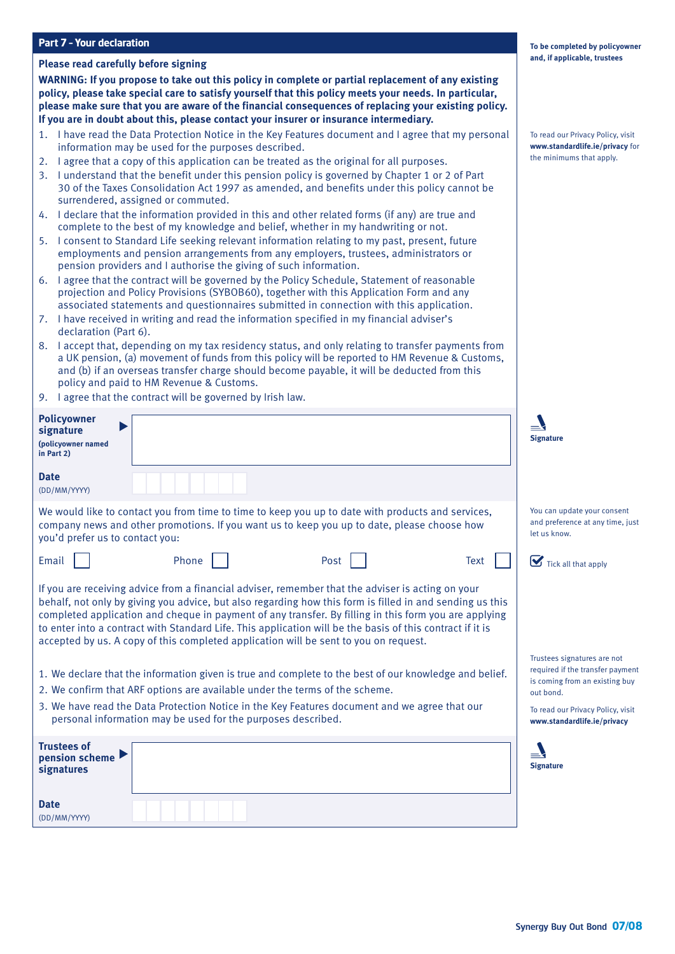### **Part 7 – Your declaration**

#### **Please read carefully before signing**

**WARNING: If you propose to take out this policy in complete or partial replacement of any existing policy, please take special care to satisfy yourself that this policy meets your needs. In particular, please make sure that you are aware of the financial consequences of replacing your existing policy. If you are in doubt about this, please contact your insurer or insurance intermediary.**

- 1. I have read the Data Protection Notice in the Key Features document and I agree that my personal information may be used for the purposes described.
- 2. I agree that a copy of this application can be treated as the original for all purposes.
- 3. I understand that the benefit under this pension policy is governed by Chapter 1 or 2 of Part 30 of the Taxes Consolidation Act 1997 as amended, and benefits under this policy cannot be surrendered, assigned or commuted.
- 4. I declare that the information provided in this and other related forms (if any) are true and complete to the best of my knowledge and belief, whether in my handwriting or not.
- 5. I consent to Standard Life seeking relevant information relating to my past, present, future employments and pension arrangements from any employers, trustees, administrators or pension providers and I authorise the giving of such information.
- 6. I agree that the contract will be governed by the Policy Schedule, Statement of reasonable projection and Policy Provisions (SYBOB60), together with this Application Form and any associated statements and questionnaires submitted in connection with this application.
- 7. I have received in writing and read the information specified in my financial adviser's declaration (Part 6).
- 8. I accept that, depending on my tax residency status, and only relating to transfer payments from a UK pension, (a) movement of funds from this policy will be reported to HM Revenue & Customs, and (b) if an overseas transfer charge should become payable, it will be deducted from this policy and paid to HM Revenue & Customs.
- 9. I agree that the contract will be governed by Irish law.

| <b>Policyowner</b><br>signature<br>(policyowner named<br>in Part 2)                                                                                                                                                                                                                                                                                                                                                                                                                                                         | <b>Signature</b>                                                                                                                                                                   |
|-----------------------------------------------------------------------------------------------------------------------------------------------------------------------------------------------------------------------------------------------------------------------------------------------------------------------------------------------------------------------------------------------------------------------------------------------------------------------------------------------------------------------------|------------------------------------------------------------------------------------------------------------------------------------------------------------------------------------|
| <b>Date</b><br>(DD/MM/YYYY)                                                                                                                                                                                                                                                                                                                                                                                                                                                                                                 |                                                                                                                                                                                    |
| We would like to contact you from time to time to keep you up to date with products and services,<br>company news and other promotions. If you want us to keep you up to date, please choose how<br>you'd prefer us to contact you:                                                                                                                                                                                                                                                                                         | You can update your consent<br>and preference at any time, just<br>let us know.                                                                                                    |
| Phone<br>Post<br>Email<br><b>Text</b>                                                                                                                                                                                                                                                                                                                                                                                                                                                                                       | $\sum$ Tick all that apply                                                                                                                                                         |
| If you are receiving advice from a financial adviser, remember that the adviser is acting on your<br>behalf, not only by giving you advice, but also regarding how this form is filled in and sending us this<br>completed application and cheque in payment of any transfer. By filling in this form you are applying<br>to enter into a contract with Standard Life. This application will be the basis of this contract if it is<br>accepted by us. A copy of this completed application will be sent to you on request. |                                                                                                                                                                                    |
| 1. We declare that the information given is true and complete to the best of our knowledge and belief.<br>2. We confirm that ARF options are available under the terms of the scheme.<br>3. We have read the Data Protection Notice in the Key Features document and we agree that our<br>personal information may be used for the purposes described.                                                                                                                                                                      | Trustees signatures are not<br>required if the transfer payment<br>is coming from an existing buy<br>out bond.<br>To read our Privacy Policy, visit<br>www.standardlife.ie/privacy |
| <b>Trustees of</b><br>pension scheme<br>signatures                                                                                                                                                                                                                                                                                                                                                                                                                                                                          | <b>Signature</b>                                                                                                                                                                   |
| <b>Date</b><br>(DD/MM/YYYY)                                                                                                                                                                                                                                                                                                                                                                                                                                                                                                 |                                                                                                                                                                                    |

#### **To be completed by policyowner and, if applicable, trustees**

To read our Privacy Policy, visit **www.standardlife.ie/privacy** for the minimums that apply.